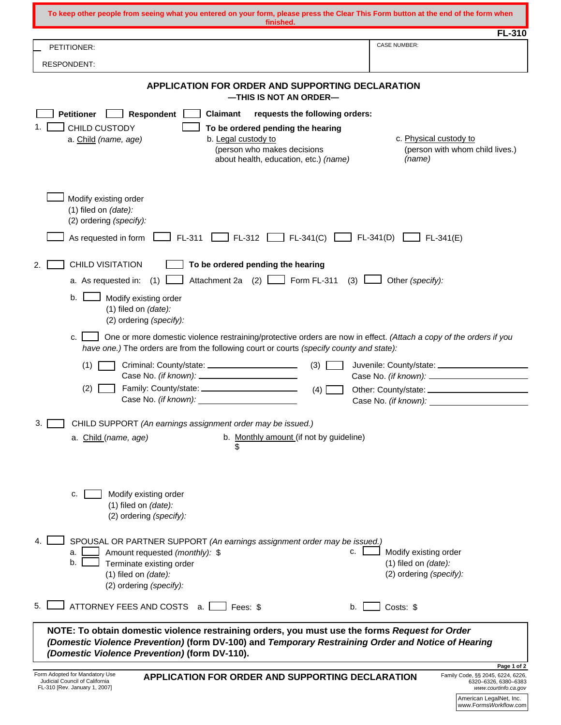| To keep other people from seeing what you entered on your form, please press the Clear This Form button at the end of the form when<br>finished.                                                                                                      |                                                                               |  |  |  |
|-------------------------------------------------------------------------------------------------------------------------------------------------------------------------------------------------------------------------------------------------------|-------------------------------------------------------------------------------|--|--|--|
| PETITIONER:                                                                                                                                                                                                                                           | FL-310<br><b>CASE NUMBER:</b>                                                 |  |  |  |
| <b>RESPONDENT:</b>                                                                                                                                                                                                                                    |                                                                               |  |  |  |
|                                                                                                                                                                                                                                                       |                                                                               |  |  |  |
| <b>APPLICATION FOR ORDER AND SUPPORTING DECLARATION</b><br>-THIS IS NOT AN ORDER-                                                                                                                                                                     |                                                                               |  |  |  |
| requests the following orders:<br><b>Petitioner</b><br>Respondent  <br><b>Claimant</b>                                                                                                                                                                |                                                                               |  |  |  |
| 1.<br><b>CHILD CUSTODY</b><br>To be ordered pending the hearing<br>b. Legal custody to<br>a. Child (name, age)                                                                                                                                        | c. Physical custody to                                                        |  |  |  |
| (person who makes decisions                                                                                                                                                                                                                           | (person with whom child lives.)<br>(name)                                     |  |  |  |
| about health, education, etc.) (name)                                                                                                                                                                                                                 |                                                                               |  |  |  |
| Modify existing order<br>(1) filed on (date):<br>(2) ordering (specify):<br>$\Box$ FL-312 $\Box$ FL-341(C) $\Box$ FL-341(D) $\Box$<br>$\Box$ FL-311 L<br>As requested in form                                                                         | $\perp$ FL-341(E)                                                             |  |  |  |
|                                                                                                                                                                                                                                                       |                                                                               |  |  |  |
| <b>CHILD VISITATION</b><br>To be ordered pending the hearing<br>2.<br>Attachment 2a $(2)$ $\boxed{\phantom{0}}$ Form FL-311 $(3)$ $\boxed{\phantom{0}}$<br>a. As requested in: $(1)$ L                                                                | Other (specify):                                                              |  |  |  |
| b.                                                                                                                                                                                                                                                    |                                                                               |  |  |  |
| Modify existing order<br>(1) filed on (date):<br>(2) ordering (specify):                                                                                                                                                                              |                                                                               |  |  |  |
| One or more domestic violence restraining/protective orders are now in effect. (Attach a copy of the orders if you<br>c.<br>have one.) The orders are from the following court or courts (specify county and state):                                  |                                                                               |  |  |  |
| (1)<br>Criminal: County/state: ______________________<br>(3)                                                                                                                                                                                          |                                                                               |  |  |  |
| (2)<br>(4)                                                                                                                                                                                                                                            |                                                                               |  |  |  |
| Case No. (if known): Case No. (if known):                                                                                                                                                                                                             | Case No. (if known):                                                          |  |  |  |
| 3.<br>CHILD SUPPORT (An earnings assignment order may be issued.)                                                                                                                                                                                     |                                                                               |  |  |  |
| b. Monthly amount (if not by guideline)<br>a. Child (name, age)<br>\$                                                                                                                                                                                 |                                                                               |  |  |  |
|                                                                                                                                                                                                                                                       |                                                                               |  |  |  |
| Modify existing order<br>c.<br>(1) filed on (date):                                                                                                                                                                                                   |                                                                               |  |  |  |
| (2) ordering (specify):                                                                                                                                                                                                                               |                                                                               |  |  |  |
| SPOUSAL OR PARTNER SUPPORT (An earnings assignment order may be issued.)<br>c.<br>Amount requested (monthly): \$<br>a.<br>b.<br>Terminate existing order<br>(1) filed on (date):<br>(2) ordering (specify):                                           | Modify existing order<br>$(1)$ filed on $(data)$ :<br>(2) ordering (specify): |  |  |  |
| 5.<br>ATTORNEY FEES AND COSTS<br>Fees: \$<br>-a. I<br>b.                                                                                                                                                                                              | Costs: \$                                                                     |  |  |  |
| NOTE: To obtain domestic violence restraining orders, you must use the forms Request for Order<br>(Domestic Violence Prevention) (form DV-100) and Temporary Restraining Order and Notice of Hearing<br>(Domestic Violence Prevention) (form DV-110). |                                                                               |  |  |  |
| Page 1 of 2<br>Form Adopted for Mandatory Use<br>Family Code, §§ 2045, 6224, 6226,<br><b>APPLICATION FOR ORDER AND SUPPORTING DECLARATION</b>                                                                                                         |                                                                               |  |  |  |
| Judicial Council of California<br>FL-310 [Rev. January 1, 2007]                                                                                                                                                                                       | 6320-6326, 6380-6383<br>www.courtinfo.ca.gov                                  |  |  |  |
|                                                                                                                                                                                                                                                       | American LegalNet, Inc.<br>www.FormsWorkflow.com                              |  |  |  |